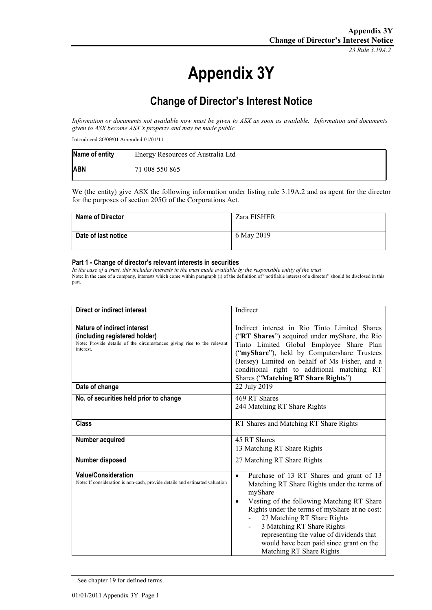*23 Rule 3.19A.2*

# **Appendix 3Y**

## **Change of Director's Interest Notice**

*Information or documents not available now must be given to ASX as soon as available. Information and documents given to ASX become ASX's property and may be made public.*

Introduced 30/09/01 Amended 01/01/11

| Name of entity | Energy Resources of Australia Ltd |
|----------------|-----------------------------------|
| <b>ABN</b>     | 71 008 550 865                    |

We (the entity) give ASX the following information under listing rule 3.19A.2 and as agent for the director for the purposes of section 205G of the Corporations Act.

| <b>Name of Director</b> | Zara FISHER |
|-------------------------|-------------|
| Date of last notice     | 6 May 2019  |

#### **Part 1 - Change of director's relevant interests in securities**

*In the case of a trust, this includes interests in the trust made available by the responsible entity of the trust* Note: In the case of a company, interests which come within paragraph (i) of the definition of "notifiable interest of a director" should be disclosed in this part.

| Direct or indirect interest                                                                                                                         | Indirect                                                                                                                                                                                                                                                                                                                                                                                                                        |
|-----------------------------------------------------------------------------------------------------------------------------------------------------|---------------------------------------------------------------------------------------------------------------------------------------------------------------------------------------------------------------------------------------------------------------------------------------------------------------------------------------------------------------------------------------------------------------------------------|
| Nature of indirect interest<br>(including registered holder)<br>Note: Provide details of the circumstances giving rise to the relevant<br>interest. | Indirect interest in Rio Tinto Limited Shares<br>("RT Shares") acquired under myShare, the Rio<br>Tinto Limited Global Employee Share Plan<br>("myShare"), held by Computershare Trustees<br>(Jersey) Limited on behalf of Ms Fisher, and a<br>conditional right to additional matching RT<br>Shares ("Matching RT Share Rights")                                                                                               |
| Date of change                                                                                                                                      | 22 July 2019                                                                                                                                                                                                                                                                                                                                                                                                                    |
| No. of securities held prior to change                                                                                                              | 469 RT Shares<br>244 Matching RT Share Rights                                                                                                                                                                                                                                                                                                                                                                                   |
| <b>Class</b>                                                                                                                                        | RT Shares and Matching RT Share Rights                                                                                                                                                                                                                                                                                                                                                                                          |
| Number acquired                                                                                                                                     | 45 RT Shares<br>13 Matching RT Share Rights                                                                                                                                                                                                                                                                                                                                                                                     |
| Number disposed                                                                                                                                     | 27 Matching RT Share Rights                                                                                                                                                                                                                                                                                                                                                                                                     |
| <b>Value/Consideration</b><br>Note: If consideration is non-cash, provide details and estimated valuation                                           | Purchase of 13 RT Shares and grant of 13<br>$\bullet$<br>Matching RT Share Rights under the terms of<br>myShare<br>Vesting of the following Matching RT Share<br>٠<br>Rights under the terms of myShare at no cost:<br>27 Matching RT Share Rights<br>3 Matching RT Share Rights<br>$\overline{\phantom{0}}$<br>representing the value of dividends that<br>would have been paid since grant on the<br>Matching RT Share Rights |

<sup>+</sup> See chapter 19 for defined terms.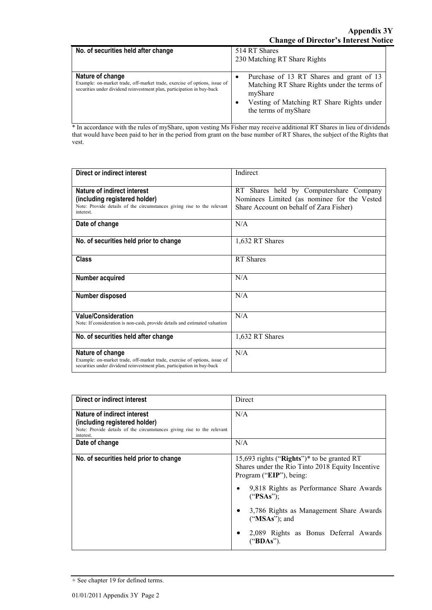| No. of securities held after change                                                                                                                                     | 514 RT Shares<br>230 Matching RT Share Rights                                                                                                                           |
|-------------------------------------------------------------------------------------------------------------------------------------------------------------------------|-------------------------------------------------------------------------------------------------------------------------------------------------------------------------|
| Nature of change<br>Example: on-market trade, off-market trade, exercise of options, issue of<br>securities under dividend reinvestment plan, participation in buy-back | Purchase of 13 RT Shares and grant of 13<br>Matching RT Share Rights under the terms of<br>myShare<br>Vesting of Matching RT Share Rights under<br>the terms of myShare |

\* In accordance with the rules of myShare, upon vesting Ms Fisher may receive additional RT Shares in lieu of dividends that would have been paid to her in the period from grant on the base number of RT Shares, the subject of the Rights that vest.

| Direct or indirect interest                                                                                                                         | Indirect                                    |
|-----------------------------------------------------------------------------------------------------------------------------------------------------|---------------------------------------------|
|                                                                                                                                                     |                                             |
| Nature of indirect interest                                                                                                                         | RT Shares held by Computershare Company     |
| (including registered holder)                                                                                                                       | Nominees Limited (as nominee for the Vested |
| Note: Provide details of the circumstances giving rise to the relevant<br>interest.                                                                 | Share Account on behalf of Zara Fisher)     |
| Date of change                                                                                                                                      | N/A                                         |
| No. of securities held prior to change                                                                                                              | 1,632 RT Shares                             |
| <b>Class</b>                                                                                                                                        | RT Shares                                   |
| Number acquired                                                                                                                                     | N/A                                         |
| Number disposed                                                                                                                                     | N/A                                         |
| <b>Value/Consideration</b><br>Note: If consideration is non-cash, provide details and estimated valuation                                           | N/A                                         |
| No. of securities held after change                                                                                                                 | 1,632 RT Shares                             |
| Nature of change                                                                                                                                    | N/A                                         |
| Example: on-market trade, off-market trade, exercise of options, issue of<br>securities under dividend reinvestment plan, participation in buy-back |                                             |

| Direct or indirect interest                                                                                                                         | Direct                                                                                                                                                                                                                                                                                                  |
|-----------------------------------------------------------------------------------------------------------------------------------------------------|---------------------------------------------------------------------------------------------------------------------------------------------------------------------------------------------------------------------------------------------------------------------------------------------------------|
| Nature of indirect interest<br>(including registered holder)<br>Note: Provide details of the circumstances giving rise to the relevant<br>interest. | N/A                                                                                                                                                                                                                                                                                                     |
| Date of change                                                                                                                                      | N/A                                                                                                                                                                                                                                                                                                     |
| No. of securities held prior to change                                                                                                              | 15,693 rights ("Rights")* to be granted RT<br>Shares under the Rio Tinto 2018 Equity Incentive<br>Program ("EIP"), being:<br>9,818 Rights as Performance Share Awards<br>("PSAs");<br>3,786 Rights as Management Share Awards<br>$("MSAs")$ ; and<br>2,089 Rights as Bonus Deferral Awards<br>("BDAs"). |

<sup>+</sup> See chapter 19 for defined terms.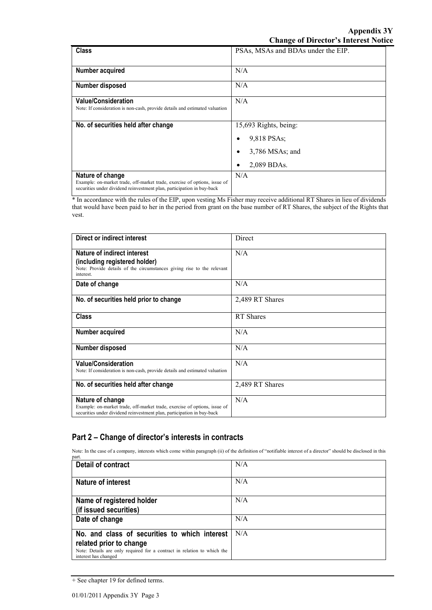| <b>Class</b>                                                                                                                                                            | PSAs, MSAs and BDAs under the EIP. |
|-------------------------------------------------------------------------------------------------------------------------------------------------------------------------|------------------------------------|
|                                                                                                                                                                         |                                    |
| Number acquired                                                                                                                                                         | N/A                                |
| <b>Number disposed</b>                                                                                                                                                  | N/A                                |
| <b>Value/Consideration</b>                                                                                                                                              | N/A                                |
| Note: If consideration is non-cash, provide details and estimated valuation                                                                                             |                                    |
| No. of securities held after change                                                                                                                                     | 15,693 Rights, being:              |
|                                                                                                                                                                         | 9,818 PSAs;<br>٠                   |
|                                                                                                                                                                         | $3,786$ MSAs; and<br>٠             |
|                                                                                                                                                                         | 2,089 BDAs.                        |
| Nature of change<br>Example: on-market trade, off-market trade, exercise of options, issue of<br>securities under dividend reinvestment plan, participation in buy-back | N/A                                |

\* In accordance with the rules of the EIP, upon vesting Ms Fisher may receive additional RT Shares in lieu of dividends that would have been paid to her in the period from grant on the base number of RT Shares, the subject of the Rights that vest.

| Direct or indirect interest                                                                                                                                             | Direct          |
|-------------------------------------------------------------------------------------------------------------------------------------------------------------------------|-----------------|
| Nature of indirect interest<br>(including registered holder)<br>Note: Provide details of the circumstances giving rise to the relevant<br>interest.                     | N/A             |
| Date of change                                                                                                                                                          | N/A             |
| No. of securities held prior to change                                                                                                                                  | 2,489 RT Shares |
| <b>Class</b>                                                                                                                                                            | RT Shares       |
| Number acquired                                                                                                                                                         | N/A             |
| Number disposed                                                                                                                                                         | N/A             |
| <b>Value/Consideration</b><br>Note: If consideration is non-cash, provide details and estimated valuation                                                               | N/A             |
| No. of securities held after change                                                                                                                                     | 2,489 RT Shares |
| Nature of change<br>Example: on-market trade, off-market trade, exercise of options, issue of<br>securities under dividend reinvestment plan, participation in buy-back | N/A             |

### **Part 2 – Change of director's interests in contracts**

Note: In the case of a company, interests which come within paragraph (ii) of the definition of "notifiable interest of a director" should be disclosed in this part.

| <b>Detail of contract</b>                                                                       | N/A |
|-------------------------------------------------------------------------------------------------|-----|
| <b>Nature of interest</b>                                                                       | N/A |
|                                                                                                 |     |
| Name of registered holder                                                                       | N/A |
| (if issued securities)                                                                          |     |
| Date of change                                                                                  | N/A |
| No. and class of securities to which interest                                                   | N/A |
| related prior to change                                                                         |     |
| Note: Details are only required for a contract in relation to which the<br>interest has changed |     |

<sup>+</sup> See chapter 19 for defined terms.